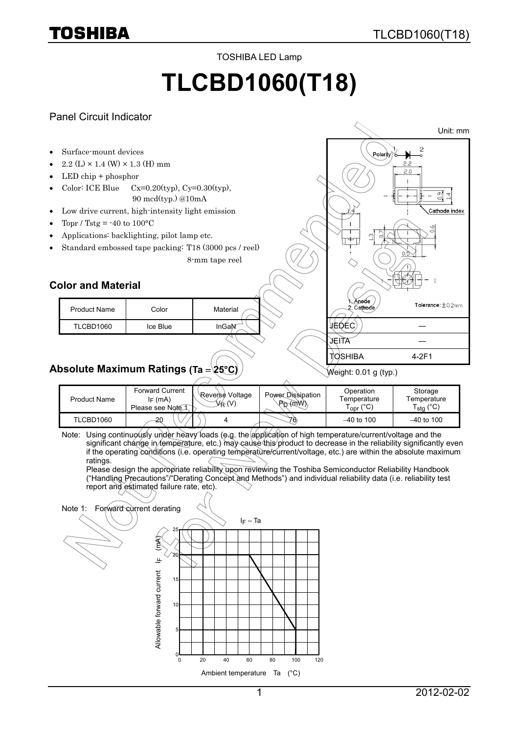TOSHIBA LED Lamp

# **TLCBD1060(T18)**

#### Panel Circuit Indicator



| <b>Product Name</b> | <b>Forward Current</b><br>I <sub>F</sub> (mA)<br>Please see Note 1 | Reverse Voltage<br>(V)<br>∖⊬ | Power Dissipation<br>$P_D$ $(M)$ | Operation<br>Temperature<br>opr (<br>◡ | Storage<br>Femperature<br>(°C)<br>stq |
|---------------------|--------------------------------------------------------------------|------------------------------|----------------------------------|----------------------------------------|---------------------------------------|
| TLCBD1060           | 20                                                                 |                              | 76                               | $-40$ to 100                           | $-40$ to 100                          |

Note: Using continuously under heavy loads (e.g. the application of high temperature/current/voltage and the significant change in temperature, etc.) may cause this product to decrease in the reliability significantly even if the operating conditions (i.e. operating temperature/current/voltage, etc.) are within the absolute maximum ratings.

Please design the appropriate reliability upon reviewing the Toshiba Semiconductor Reliability Handbook ("Handling Precautions"/"Derating Concept and Methods") and individual reliability data (i.e. reliability test report and estimated failure rate, etc).

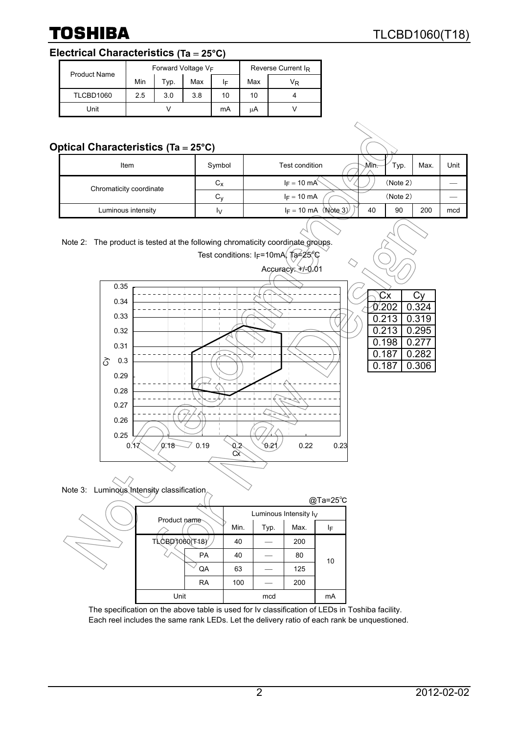# **Electrical Characteristics (Ta** = **25°C)**

| <b>Product Name</b> | Forward Voltage V <sub>F</sub> |             |     |    | Reverse Current I <sub>R</sub> |    |  |
|---------------------|--------------------------------|-------------|-----|----|--------------------------------|----|--|
|                     | Min                            | Max<br>Typ. |     | ΙF | Max                            | VŖ |  |
| TLCBD1060           | 2.5                            | 3.0         | 3.8 | 10 | 10                             |    |  |
| Unit                |                                |             |     | mA | uΑ                             |    |  |

# **Optical Characteristics (Ta** = **25°C)**

| $P1001$ original deteriories (i.g. $-20$ or |             |                                |       |          |      |      |  |  |
|---------------------------------------------|-------------|--------------------------------|-------|----------|------|------|--|--|
| Item                                        | Symbol      | Test condition                 | √Mìn⊤ | Typ.     | Max. | Unit |  |  |
| Chromaticity coordinate                     | $C_{\rm X}$ | $I_F = 10$ mA                  |       | (Note 2) |      |      |  |  |
|                                             | $C_{V}$     | $I_F = 10$ mA                  |       | (Note 2) |      |      |  |  |
| Luminous intensity                          | I٧          | $I_F = 10 \text{ mA}$ (Note 3) | 40    | 90       | 200  | mcd  |  |  |









|                |           |      |                          |      | @Ta=25°C |
|----------------|-----------|------|--------------------------|------|----------|
| Product name   |           |      | Luminous Intensity $I_V$ |      |          |
|                |           | Min. | Typ.                     | Max. | ΙF       |
| TLCBD3060(T18) |           | 40   |                          | 200  |          |
|                | <b>PA</b> | 40   |                          | 80   | 10       |
|                | QA        | 63   |                          | 125  |          |
|                | <b>RA</b> | 100  |                          | 200  |          |
| Unit           |           |      | mcd                      |      | mA       |

The specification on the above table is used for Iv classification of LEDs in Toshiba facility. Each reel includes the same rank LEDs. Let the delivery ratio of each rank be unquestioned.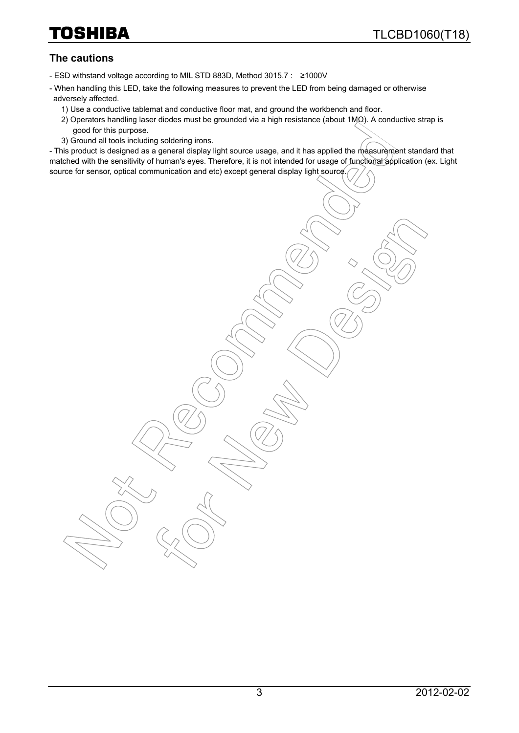#### **The cautions**

- ESD withstand voltage according to MIL STD 883D, Method 3015.7 : ≥1000V
- When handling this LED, take the following measures to prevent the LED from being damaged or otherwise adversely affected.
	- 1) Use a conductive tablemat and conductive floor mat, and ground the workbench and floor.
	- 2) Operators handling laser diodes must be grounded via a high resistance (about 1MΩ). A conductive strap is good for this purpose.
	- 3) Ground all tools including soldering irons.

- This product is designed as a general display light source usage, and it has applied the measurement standard that matched with the sensitivity of human's eyes. Therefore, it is not intended for usage of functional application (ex. Light source for sensor, optical communication and etc) except general display light source.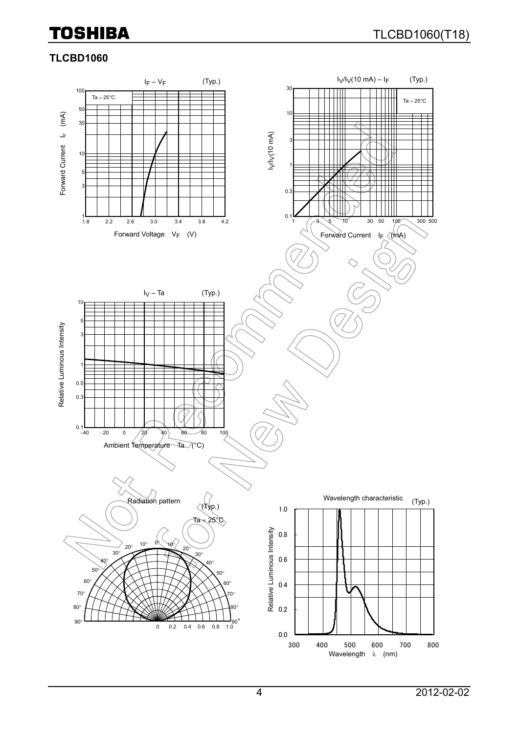### **TLCBD1060**

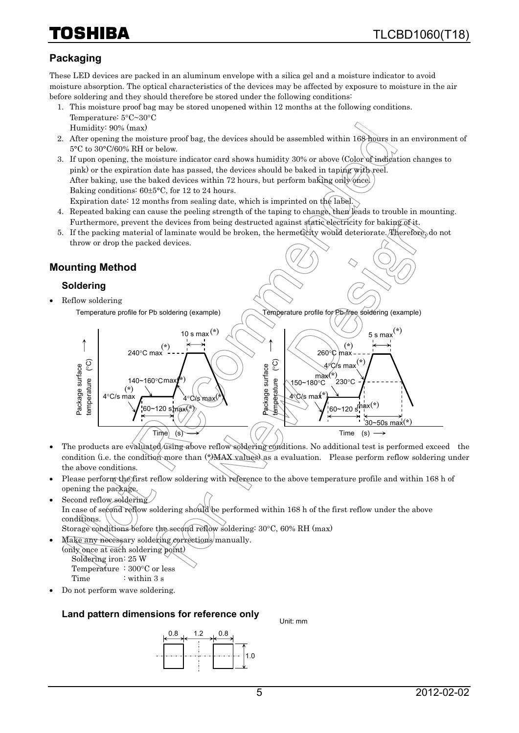# 10SHIBA

## **Packaging**

These LED devices are packed in an aluminum envelope with a silica gel and a moisture indicator to avoid moisture absorption. The optical characteristics of the devices may be affected by exposure to moisture in the air before soldering and they should therefore be stored under the following conditions:

- 1. This moisture proof bag may be stored unopened within 12 months at the following conditions. Temperature: 5°C~30°C Humidity: 90% (max)
- 2. After opening the moisture proof bag, the devices should be assembled within 168 hours in an environment of 5°C to 30°C/60% RH or below.
- 3. If upon opening, the moisture indicator card shows humidity 30% or above (Color of indication changes to pink) or the expiration date has passed, the devices should be baked in taping with reel. After baking, use the baked devices within 72 hours, but perform baking only once. Baking conditions: 60±5°C, for 12 to 24 hours. Expiration date: 12 months from sealing date, which is imprinted on the label.
- 4. Repeated baking can cause the peeling strength of the taping to change, then leads to trouble in mounting. Furthermore, prevent the devices from being destructed against static electricity for baking of it.
- 5. If the packing material of laminate would be broken, the hermeticity would deteriorate. Therefore, do not throw or drop the packed devices.

### **Mounting Method**

#### **Soldering**

• Reflow soldering Temperature profile for Pb soldering (example)



Temperature profile for Pb-free soldering (example)

- The products are evaluated using above reflow soldering conditions. No additional test is performed exceed the condition (i.e. the condition more than  $(*)$ MAX values) as a evaluation. Please perform reflow soldering under the above conditions.
- Please perform the first reflow soldering with reference to the above temperature profile and within 168 h of opening the package.
- Second reflow soldering In case of second reflow soldering should be performed within 168 h of the first reflow under the above conditions. Storage conditions before the second reflow soldering: 30°C, 60% RH (max)
	- Make any necessary soldering corrections manually.
		- (only once at each soldering point) Soldering iron: 25 W Temperature : 300°C or less Time : within 3 s
- Do not perform wave soldering.

#### **Land pattern dimensions for reference only**



Unit: mm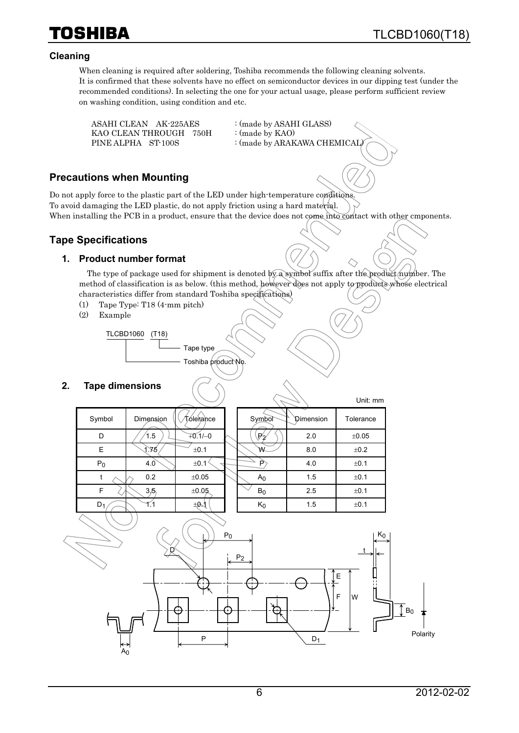

Unit: mm

#### **Cleaning**

TOSHIBA

When cleaning is required after soldering, Toshiba recommends the following cleaning solvents. It is confirmed that these solvents have no effect on semiconductor devices in our dipping test (under the recommended conditions). In selecting the one for your actual usage, please perform sufficient review on washing condition, using condition and etc.

ASAHI CLEAN AK-225AES : (made by ASAHI GLASS) KAO CLEAN THROUGH 750H : (made by KAO)

PINE ALPHA ST-100S : (made by ARAKAWA CHEMICAL)

#### **Precautions when Mounting**

Do not apply force to the plastic part of the LED under high-temperature conditions. To avoid damaging the LED plastic, do not apply friction using a hard material. When installing the PCB in a product, ensure that the device does not come into contact with other cmponents.

#### **Tape Specifications**

#### **1. Product number format**

The type of package used for shipment is denoted by a symbol suffix after the product number. The method of classification is as below. (this method, however does not apply to products whose electrical characteristics differ from standard Toshiba specifications)

- (1) Tape Type: T18 (4-mm pitch)
- (2) Example

TLCBD1060 (T18)

Tape type

Toshiba product No.

#### **2. Tape dimensions**

|        |           |           |                  |           | UIIII. IIIIII |
|--------|-----------|-----------|------------------|-----------|---------------|
| Symbol | Dimension | Tóleiance | Symbol           | Dimension | Tolerance     |
| D      | 1.5       | $+0.1/-0$ | $\mathbb{P}_{2}$ | 2.0       | ±0.05         |
| E      | 1.75      | ±0.1      | W                | 8.0       | ±0.2          |
| $P_0$  | 4.0       | ±0.1      | P                | 4.0       | ±0.1          |
|        | 0.2       | ±0.05     | A <sub>0</sub>   | 1.5       | ±0.1          |
| F      | 3/5       | ±0.05     | $B_0$            | 2.5       | ±0.1          |
| $D_1$  |           | ±ØJ       | $\mathsf{K}_0$   | 1.5       | ±0.1          |
|        |           |           |                  |           |               |

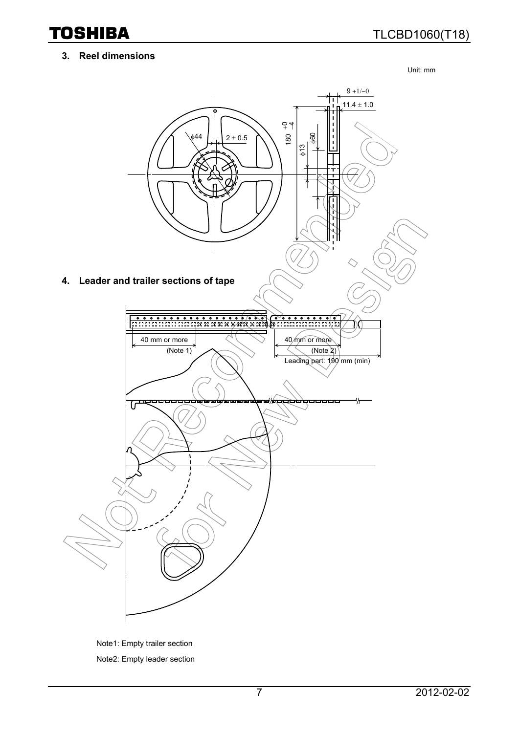#### **3. Reel dimensions**

Unit: mm



Note1: Empty trailer section Note2: Empty leader section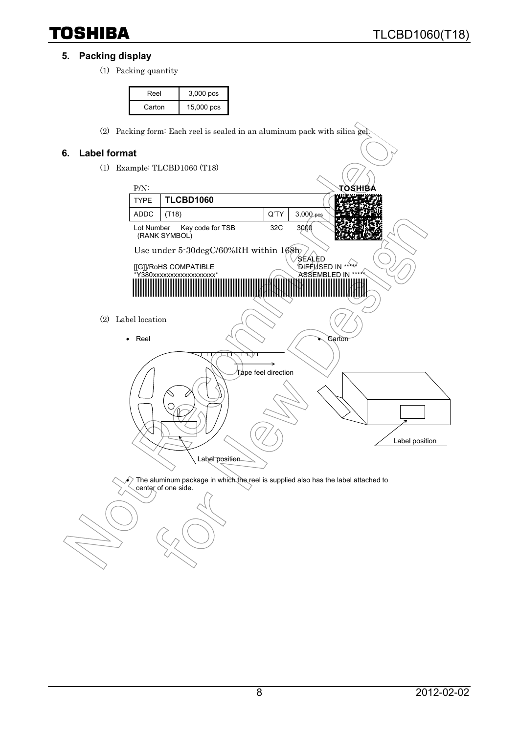### **5. Packing display**

(1) Packing quantity

| Reel   | $3,000$ pcs |
|--------|-------------|
| Carton | 15,000 pcs  |

(2) Packing form: Each reel is sealed in an aluminum pack with silica gel.

### **6. Label format**

(1) Example: TLCBD1060 (T18)



 $\epsilon$ ) The aluminum package in which the reel is supplied also has the label attached to center of one side.